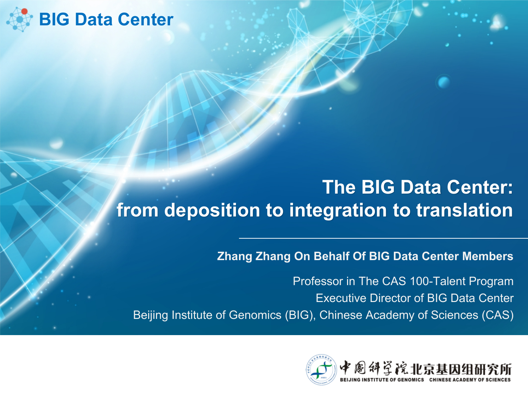

#### **The BIG Data Center: from deposition to integration to translation**

**Zhang Zhang On Behalf Of BIG Data Center Members**

Professor in The CAS 100-Talent Program Executive Director of BIG Data Center Beijing Institute of Genomics (BIG), Chinese Academy of Sciences (CAS)

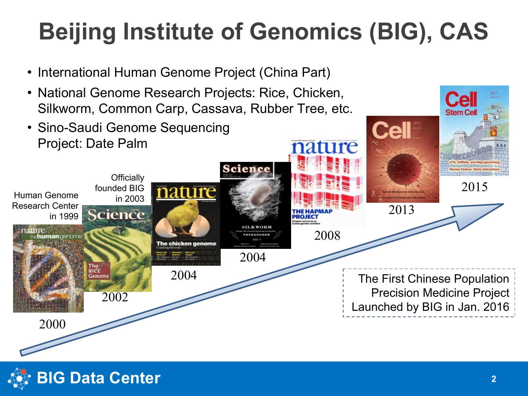## **Beijing Institute of Genomics (BIG), CAS**

- International Human Genome Project (China Part)
- National Genome Research Projects: Rice, Chicken, Silkworm, Common Carp, Cassava, Rubber Tree, etc.
- Sino-Saudi Genome Sequencing Project: Date Palm





Ce **Stem Co** 

**LA**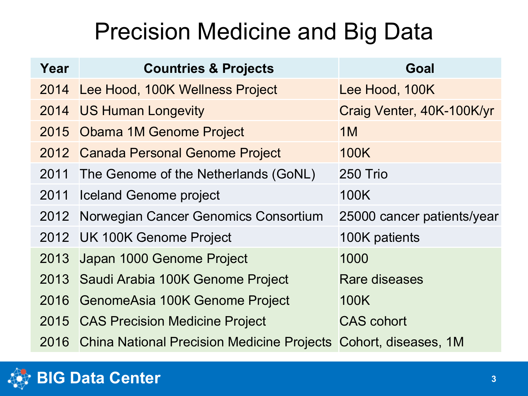### Precision Medicine and Big Data

| Year | <b>Countries &amp; Projects</b>                                 | Goal                       |
|------|-----------------------------------------------------------------|----------------------------|
|      | 2014 Lee Hood, 100K Wellness Project                            | Lee Hood, 100K             |
|      | 2014 US Human Longevity                                         | Craig Venter, 40K-100K/yr  |
|      | 2015 Obama 1M Genome Project                                    | 1M                         |
|      | 2012 Canada Personal Genome Project                             | 100K                       |
|      | 2011 The Genome of the Netherlands (GoNL)                       | 250 Trio                   |
|      | 2011 Iceland Genome project                                     | 100K                       |
|      | 2012 Norwegian Cancer Genomics Consortium                       | 25000 cancer patients/year |
|      | 2012 UK 100K Genome Project                                     | 100K patients              |
| 2013 | Japan 1000 Genome Project                                       | 1000                       |
|      | 2013 Saudi Arabia 100K Genome Project                           | Rare diseases              |
|      | 2016 GenomeAsia 100K Genome Project                             | 100K                       |
|      | 2015 CAS Precision Medicine Project                             | <b>CAS</b> cohort          |
| 2016 | China National Precision Medicine Projects Cohort, diseases, 1M |                            |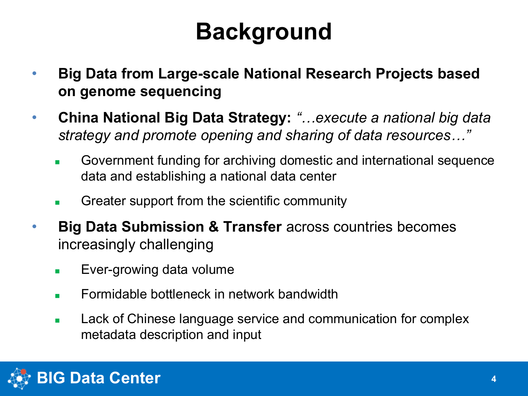### **Background**

- **Big Data from Large-scale National Research Projects based on genome sequencing**
- **China National Big Data Strategy:** *"…execute a national big data strategy and promote opening and sharing of data resources…"*
	- **n** Government funding for archiving domestic and international sequence data and establishing a national data center
	- <sup>n</sup> Greater support from the scientific community
- **Big Data Submission & Transfer** across countries becomes increasingly challenging
	- $\blacksquare$  Ever-growing data volume
	- $\blacksquare$  Formidable bottleneck in network bandwidth
	- **EXEC** Lack of Chinese language service and communication for complex metadata description and input